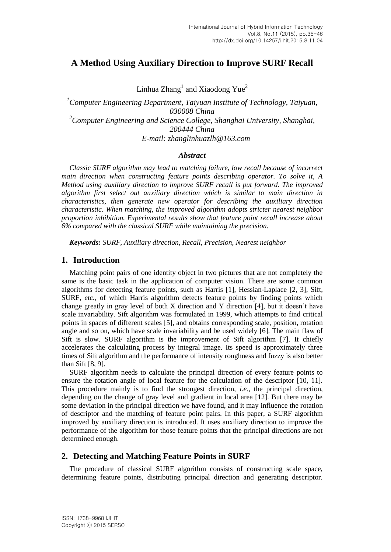# **A Method Using Auxiliary Direction to Improve SURF Recall**

Linhua  $\text{Zhang}^1$  and Xiaodong  $\text{Yue}^2$ 

*<sup>1</sup>Computer Engineering Department, Taiyuan Institute of Technology, Taiyuan, 030008 China <sup>2</sup>Computer Engineering and Science College, Shanghai University, Shanghai, 200444 China E-mail: zhanglinhuazlh@163.com*

## *Abstract*

*Classic SURF algorithm may lead to matching failure, low recall because of incorrect main direction when constructing feature points describing operator. To solve it, A Method using auxiliary direction to improve SURF recall is put forward. The improved algorithm first select out auxiliary direction which is similar to main direction in characteristics, then generate new operator for describing the auxiliary direction characteristic. When matching, the improved algorithm adopts stricter nearest neighbor proportion inhibition. Experimental results show that feature point recall increase about 6% compared with the classical SURF while maintaining the precision.*

*Keywords: SURF, Auxiliary direction, Recall, Precision, Nearest neighbor*

## **1. Introduction**

Matching point pairs of one identity object in two pictures that are not completely the same is the basic task in the application of computer vision. There are some common algorithms for detecting feature points, such as Harris [1], Hessian-Laplace [2, 3], Sift, SURF, *etc.,* of which Harris algorithm detects feature points by finding points which change greatly in gray level of both X direction and Y direction [4], but it doesn't have scale invariability. Sift algorithm was formulated in 1999, which attempts to find critical points in spaces of different scales [5], and obtains corresponding scale, position, rotation angle and so on, which have scale invariability and be used widely [6]. The main flaw of Sift is slow. SURF algorithm is the improvement of Sift algorithm [7]. It chiefly accelerates the calculating process by integral image. Its speed is approximately three times of Sift algorithm and the performance of intensity roughness and fuzzy is also better than Sift [8, 9].

SURF algorithm needs to calculate the principal direction of every feature points to ensure the rotation angle of local feature for the calculation of the descriptor [10, 11]. This procedure mainly is to find the strongest direction, *i.e.,* the principal direction, depending on the change of gray level and gradient in local area [12]. But there may be some deviation in the principal direction we have found, and it may influence the rotation of descriptor and the matching of feature point pairs. In this paper, a SURF algorithm improved by auxiliary direction is introduced. It uses auxiliary direction to improve the performance of the algorithm for those feature points that the principal directions are not determined enough.

## **2. Detecting and Matching Feature Points in SURF**

The procedure of classical SURF algorithm consists of constructing scale space, determining feature points, distributing principal direction and generating descriptor.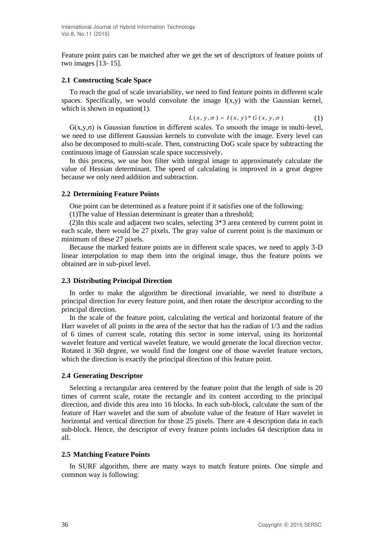Feature point pairs can be matched after we get the set of descriptors of feature points of two images [13- 15].

#### **2.1 Constructing Scale Space**

To reach the goal of scale invariability, we need to find feature points in different scale spaces. Specifically, we would convolute the image  $I(x,y)$  with the Gaussian kernel, which is shown in equation(1).

$$
L(x, y, \sigma) = I(x, y) * G(x, y, \sigma)
$$
 (1)

 $G(x,y,\sigma)$  is Gaussian function in different scales. To smooth the image in multi-level, we need to use different Gaussian kernels to convolute with the image. Every level can also be decomposed to multi-scale. Then, constructing DoG scale space by subtracting the continuous image of Gaussian scale space successively.

In this process, we use box filter with integral image to approximately calculate the value of Hessian determinant. The speed of calculating is improved in a great degree because we only need addition and subtraction.

### **2.2 Determining Feature Points**

One point can be determined as a feature point if it satisfies one of the following:

(1)The value of Hessian determinant is greater than a threshold;

(2)In this scale and adjacent two scales, selecting 3\*3 area centered by current point in each scale, there would be 27 pixels. The gray value of current point is the maximum or minimum of these 27 pixels.

Because the marked feature points are in different scale spaces, we need to apply 3-D linear interpolation to map them into the original image, thus the feature points we obtained are in sub-pixel level.

#### **2.3 Distributing Principal Direction**

In order to make the algorithm be directional invariable, we need to distribute a principal direction for every feature point, and then rotate the descriptor according to the principal direction.

In the scale of the feature point, calculating the vertical and horizontal feature of the Harr wavelet of all points in the area of the sector that has the radian of 1/3 and the radius of 6 times of current scale, rotating this sector in some interval, using its horizontal wavelet feature and vertical wavelet feature, we would generate the local direction vector. Rotated it 360 degree, we would find the longest one of those wavelet feature vectors, which the direction is exactly the principal direction of this feature point.

#### **2.4 Generating Descriptor**

Selecting a rectangular area centered by the feature point that the length of side is 20 times of current scale, rotate the rectangle and its content according to the principal direction, and divide this area into 16 blocks. In each sub-block, calculate the sum of the feature of Harr wavelet and the sum of absolute value of the feature of Harr wavelet in horizontal and vertical direction for those 25 pixels. There are 4 description data in each sub-block. Hence, the descriptor of every feature points includes 64 description data in all.

### **2.5 Matching Feature Points**

In SURF algorithm, there are many ways to match feature points. One simple and common way is following: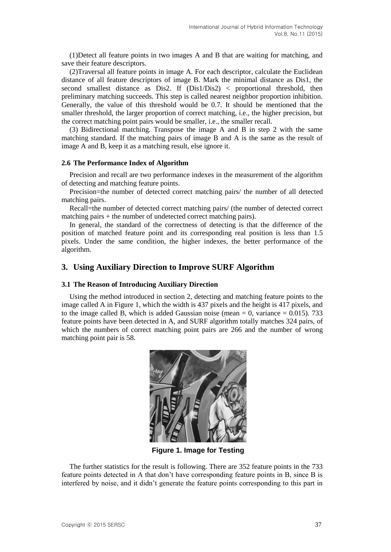(1)Detect all feature points in two images A and B that are waiting for matching, and save their feature descriptors.

(2)Traversal all feature points in image A. For each descriptor, calculate the Euclidean distance of all feature descriptors of image B. Mark the minimal distance as Dis1, the second smallest distance as Dis2. If (Dis1/Dis2) < proportional threshold, then preliminary matching succeeds. This step is called nearest neighbor proportion inhibition. Generally, the value of this threshold would be 0.7. It should be mentioned that the smaller threshold, the larger proportion of correct matching, i.e., the higher precision, but the correct matching point pairs would be smaller, i.e., the smaller recall.

(3) Bidirectional matching. Transpose the image A and B in step 2 with the same matching standard. If the matching pairs of image B and A is the same as the result of image A and B, keep it as a matching result, else ignore it.

## **2.6 The Performance Index of Algorithm**

Precision and recall are two performance indexes in the measurement of the algorithm of detecting and matching feature points.

Precision=the number of detected correct matching pairs/ the number of all detected matching pairs.

Recall=the number of detected correct matching pairs/ (the number of detected correct matching pairs + the number of undetected correct matching pairs).

In general, the standard of the correctness of detecting is that the difference of the position of matched feature point and its corresponding real position is less than 1.5 pixels. Under the same condition, the higher indexes, the better performance of the algorithm.

## **3. Using Auxiliary Direction to Improve SURF Algorithm**

### **3.1 The Reason of Introducing Auxiliary Direction**

Using the method introduced in section 2, detecting and matching feature points to the image called A in Figure 1, which the width is 437 pixels and the height is 417 pixels, and to the image called B, which is added Gaussian noise (mean  $= 0$ , variance  $= 0.015$ ), 733 feature points have been detected in A, and SURF algorithm totally matches 324 pairs, of which the numbers of correct matching point pairs are 266 and the number of wrong matching point pair is 58.



**Figure 1. Image for Testing**

The further statistics for the result is following. There are 352 feature points in the 733 feature points detected in A that don't have corresponding feature points in B, since B is interfered by noise, and it didn't generate the feature points corresponding to this part in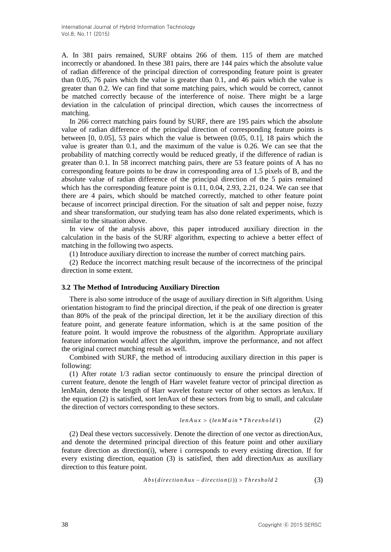A. In 381 pairs remained, SURF obtains 266 of them. 115 of them are matched incorrectly or abandoned. In these 381 pairs, there are 144 pairs which the absolute value of radian difference of the principal direction of corresponding feature point is greater than 0.05, 76 pairs which the value is greater than 0.1, and 46 pairs which the value is greater than 0.2. We can find that some matching pairs, which would be correct, cannot be matched correctly because of the interference of noise. There might be a large deviation in the calculation of principal direction, which causes the incorrectness of matching.

In 266 correct matching pairs found by SURF, there are 195 pairs which the absolute value of radian difference of the principal direction of corresponding feature points is between [0, 0.05], 53 pairs which the value is between (0.05, 0.1], 18 pairs which the value is greater than 0.1, and the maximum of the value is 0.26. We can see that the probability of matching correctly would be reduced greatly, if the difference of radian is greater than 0.1. In 58 incorrect matching pairs, there are 53 feature points of A has no corresponding feature points to be draw in corresponding area of 1.5 pixels of B, and the absolute value of radian difference of the principal direction of the 5 pairs remained which has the corresponding feature point is 0.11, 0.04, 2.93, 2.21, 0.24. We can see that there are 4 pairs, which should be matched correctly, matched to other feature point because of incorrect principal direction. For the situation of salt and pepper noise, fuzzy and shear transformation, our studying team has also done related experiments, which is similar to the situation above.

In view of the analysis above, this paper introduced auxiliary direction in the calculation in the basis of the SURF algorithm, expecting to achieve a better effect of matching in the following two aspects.

(1) Introduce auxiliary direction to increase the number of correct matching pairs.

(2) Reduce the incorrect matching result because of the incorrectness of the principal direction in some extent.

### **3.2 The Method of Introducing Auxiliary Direction**

There is also some introduce of the usage of auxiliary direction in Sift algorithm. Using orientation histogram to find the principal direction, if the peak of one direction is greater than 80% of the peak of the principal direction, let it be the auxiliary direction of this feature point, and generate feature information, which is at the same position of the feature point. It would improve the robustness of the algorithm. Appropriate auxiliary feature information would affect the algorithm, improve the performance, and not affect the original correct matching result as well.

Combined with SURF, the method of introducing auxiliary direction in this paper is following:

(1) After rotate 1/3 radian sector continuously to ensure the principal direction of current feature, denote the length of Harr wavelet feature vector of principal direction as lenMain, denote the length of Harr wavelet feature vector of other sectors as lenAux. If the equation (2) is satisfied, sort lenAux of these sectors from big to small, and calculate the direction of vectors corresponding to these sectors.

$$
lenAux > (lenMain *Threshold1)
$$
 (2)

(2) Deal these vectors successively. Denote the direction of one vector as directionAux, and denote the determined principal direction of this feature point and other auxiliary feature direction as direction(i), where i corresponds to every existing direction. If for every existing direction, equation (3) is satisfied, then add directionAux as auxiliary direction to this feature point.

$$
Abs(directionAux - direction(i)) > Threshold 2
$$
 (3)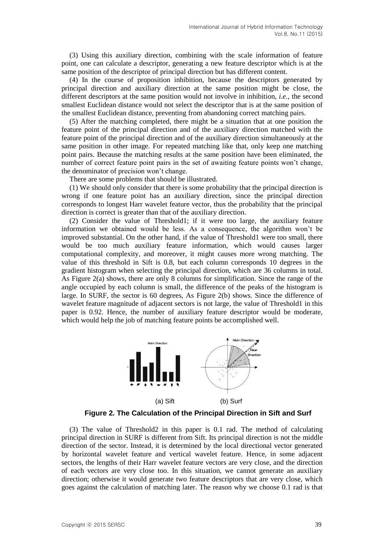(3) Using this auxiliary direction, combining with the scale information of feature point, one can calculate a descriptor, generating a new feature descriptor which is at the same position of the descriptor of principal direction but has different content.

(4) In the course of proposition inhibition, because the descriptors generated by principal direction and auxiliary direction at the same position might be close, the different descriptors at the same position would not involve in inhibition, *i.e.,* the second smallest Euclidean distance would not select the descriptor that is at the same position of the smallest Euclidean distance, preventing from abandoning correct matching pairs.

(5) After the matching completed, there might be a situation that at one position the feature point of the principal direction and of the auxiliary direction matched with the feature point of the principal direction and of the auxiliary direction simultaneously at the same position in other image. For repeated matching like that, only keep one matching point pairs. Because the matching results at the same position have been eliminated, the number of correct feature point pairs in the set of awaiting feature points won't change, the denominator of precision won't change.

There are some problems that should be illustrated.

(1) We should only consider that there is some probability that the principal direction is wrong if one feature point has an auxiliary direction, since the principal direction corresponds to longest Harr wavelet feature vector, thus the probability that the principal direction is correct is greater than that of the auxiliary direction.

(2) Consider the value of Threshold1; if it were too large, the auxiliary feature information we obtained would be less. As a consequence, the algorithm won't be improved substantial. On the other hand, if the value of Threshold1 were too small, there would be too much auxiliary feature information, which would causes larger computational complexity, and moreover, it might causes more wrong matching. The value of this threshold in Sift is 0.8, but each column corresponds 10 degrees in the gradient histogram when selecting the principal direction, which are 36 columns in total. As Figure 2(a) shows, there are only 8 columns for simplification. Since the range of the angle occupied by each column is small, the difference of the peaks of the histogram is large. In SURF, the sector is 60 degrees, As Figure 2(b) shows. Since the difference of wavelet feature magnitude of adjacent sectors is not large, the value of Threshold1 in this paper is 0.92. Hence, the number of auxiliary feature descriptor would be moderate, which would help the job of matching feature points be accomplished well.



**Figure 2. The Calculation of the Principal Direction in Sift and Surf**

(3) The value of Threshold2 in this paper is 0.1 rad. The method of calculating principal direction in SURF is different from Sift. Its principal direction is not the middle direction of the sector. Instead, it is determined by the local directional vector generated by horizontal wavelet feature and vertical wavelet feature. Hence, in some adjacent sectors, the lengths of their Harr wavelet feature vectors are very close, and the direction of each vectors are very close too. In this situation, we cannot generate an auxiliary direction; otherwise it would generate two feature descriptors that are very close, which goes against the calculation of matching later. The reason why we choose 0.1 rad is that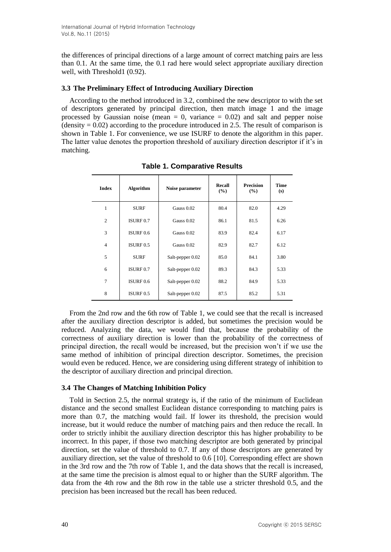the differences of principal directions of a large amount of correct matching pairs are less than 0.1. At the same time, the 0.1 rad here would select appropriate auxiliary direction well, with Threshold1 (0.92).

## **3.3 The Preliminary Effect of Introducing Auxiliary Direction**

According to the method introduced in 3.2, combined the new descriptor to with the set of descriptors generated by principal direction, then match image 1 and the image processed by Gaussian noise (mean  $= 0$ , variance  $= 0.02$ ) and salt and pepper noise  $(density = 0.02)$  according to the procedure introduced in 2.5. The result of comparison is shown in Table 1. For convenience, we use ISURF to denote the algorithm in this paper. The latter value denotes the proportion threshold of auxiliary direction descriptor if it's in matching.

| <b>Index</b>   | <b>Algorithm</b> | Noise parameter  | Recall<br>$\frac{9}{6}$ | <b>Precision</b><br>$($ %) | Time<br>(s) |
|----------------|------------------|------------------|-------------------------|----------------------------|-------------|
| 1              | <b>SURF</b>      | Gauss 0.02       | 80.4                    | 82.0                       | 4.29        |
| $\overline{2}$ | ISURE 0.7        | Gauss 0.02       | 86.1                    | 81.5                       | 6.26        |
| 3              | ISURE 0.6        | Gauss 0.02       | 83.9                    | 82.4                       | 6.17        |
| $\overline{4}$ | ISURE 0.5        | Gauss 0.02       | 82.9                    | 82.7                       | 6.12        |
| 5              | <b>SURF</b>      | Salt-pepper 0.02 | 85.0                    | 84.1                       | 3.80        |
| 6              | ISURE 0.7        | Salt-pepper 0.02 | 89.3                    | 84.3                       | 5.33        |
| $\overline{7}$ | ISURE 0.6        | Salt-pepper 0.02 | 88.2                    | 84.9                       | 5.33        |
| 8              | ISURE 0.5        | Salt-pepper 0.02 | 87.5                    | 85.2                       | 5.31        |

**Table 1. Comparative Results**

From the 2nd row and the 6th row of Table 1, we could see that the recall is increased after the auxiliary direction descriptor is added, but sometimes the precision would be reduced. Analyzing the data, we would find that, because the probability of the correctness of auxiliary direction is lower than the probability of the correctness of principal direction, the recall would be increased, but the precision won't if we use the same method of inhibition of principal direction descriptor. Sometimes, the precision would even be reduced. Hence, we are considering using different strategy of inhibition to the descriptor of auxiliary direction and principal direction.

## **3.4 The Changes of Matching Inhibition Policy**

Told in Section 2.5, the normal strategy is, if the ratio of the minimum of Euclidean distance and the second smallest Euclidean distance corresponding to matching pairs is more than 0.7, the matching would fail. If lower its threshold, the precision would increase, but it would reduce the number of matching pairs and then reduce the recall. In order to strictly inhibit the auxiliary direction descriptor this has higher probability to be incorrect. In this paper, if those two matching descriptor are both generated by principal direction, set the value of threshold to 0.7. If any of those descriptors are generated by auxiliary direction, set the value of threshold to 0.6 [10]. Corresponding effect are shown in the 3rd row and the 7th row of Table 1, and the data shows that the recall is increased, at the same time the precision is almost equal to or higher than the SURF algorithm. The data from the 4th row and the 8th row in the table use a stricter threshold 0.5, and the precision has been increased but the recall has been reduced.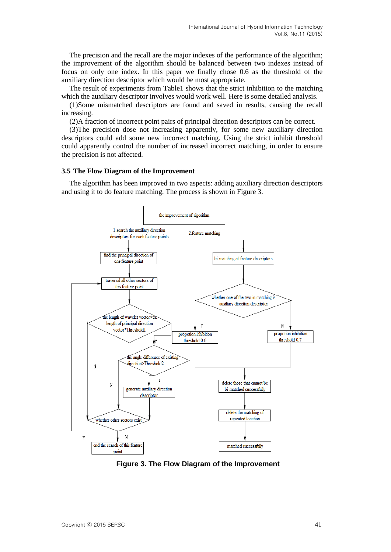The precision and the recall are the major indexes of the performance of the algorithm; the improvement of the algorithm should be balanced between two indexes instead of focus on only one index. In this paper we finally chose 0.6 as the threshold of the auxiliary direction descriptor which would be most appropriate.

The result of experiments from Table1 shows that the strict inhibition to the matching which the auxiliary descriptor involves would work well. Here is some detailed analysis.

(1)Some mismatched descriptors are found and saved in results, causing the recall increasing.

(2)A fraction of incorrect point pairs of principal direction descriptors can be correct.

(3)The precision dose not increasing apparently, for some new auxiliary direction descriptors could add some new incorrect matching. Using the strict inhibit threshold could apparently control the number of increased incorrect matching, in order to ensure the precision is not affected.

#### **3.5 The Flow Diagram of the Improvement**

The algorithm has been improved in two aspects: adding auxiliary direction descriptors and using it to do feature matching. The process is shown in Figure 3.



**Figure 3. The Flow Diagram of the Improvement**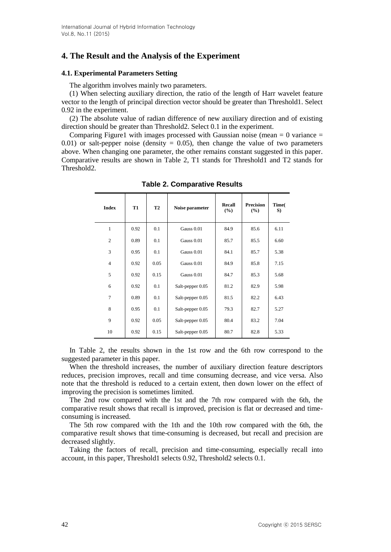# **4. The Result and the Analysis of the Experiment**

## **4.1. Experimental Parameters Setting**

The algorithm involves mainly two parameters.

(1) When selecting auxiliary direction, the ratio of the length of Harr wavelet feature vector to the length of principal direction vector should be greater than Threshold1. Select 0.92 in the experiment.

(2) The absolute value of radian difference of new auxiliary direction and of existing direction should be greater than Threshold2. Select 0.1 in the experiment.

Comparing Figure 1 with images processed with Gaussian noise (mean  $= 0$  variance  $=$ 0.01) or salt-pepper noise (density  $= 0.05$ ), then change the value of two parameters above. When changing one parameter, the other remains constant suggested in this paper. Comparative results are shown in Table 2, T1 stands for Threshold1 and T2 stands for Threshold2.

| <b>Index</b>   | T1   | <b>T2</b> | Noise parameter  | Recall<br>$\frac{9}{6}$ | <b>Precision</b><br>$\frac{9}{6}$ | Time(<br>S) |
|----------------|------|-----------|------------------|-------------------------|-----------------------------------|-------------|
| $\mathbf{1}$   | 0.92 | 0.1       | Gauss 0.01       | 84.9                    | 85.6                              | 6.11        |
| $\overline{2}$ | 0.89 | 0.1       | Gauss 0.01       | 85.7                    | 85.5                              | 6.60        |
| 3              | 0.95 | 0.1       | Gauss 0.01       | 84.1                    | 85.7                              | 5.38        |
| $\overline{4}$ | 0.92 | 0.05      | Gauss 0.01       | 84.9                    | 85.8                              | 7.15        |
| 5              | 0.92 | 0.15      | Gauss 0.01       | 84.7                    | 85.3                              | 5.68        |
| 6              | 0.92 | 0.1       | Salt-pepper 0.05 | 81.2                    | 82.9                              | 5.98        |
| $\overline{7}$ | 0.89 | 0.1       | Salt-pepper 0.05 | 81.5                    | 82.2                              | 6.43        |
| 8              | 0.95 | 0.1       | Salt-pepper 0.05 | 79.3                    | 82.7                              | 5.27        |
| 9              | 0.92 | 0.05      | Salt-pepper 0.05 | 80.4                    | 83.2                              | 7.04        |
| 10             | 0.92 | 0.15      | Salt-pepper 0.05 | 80.7                    | 82.8                              | 5.33        |

**Table 2. Comparative Results**

In Table 2, the results shown in the 1st row and the 6th row correspond to the suggested parameter in this paper.

When the threshold increases, the number of auxiliary direction feature descriptors reduces, precision improves, recall and time consuming decrease, and vice versa. Also note that the threshold is reduced to a certain extent, then down lower on the effect of improving the precision is sometimes limited.

The 2nd row compared with the 1st and the 7th row compared with the 6th, the comparative result shows that recall is improved, precision is flat or decreased and timeconsuming is increased.

The 5th row compared with the 1th and the 10th row compared with the 6th, the comparative result shows that time-consuming is decreased, but recall and precision are decreased slightly.

Taking the factors of recall, precision and time-consuming, especially recall into account, in this paper, Threshold1 selects 0.92, Threshold2 selects 0.1.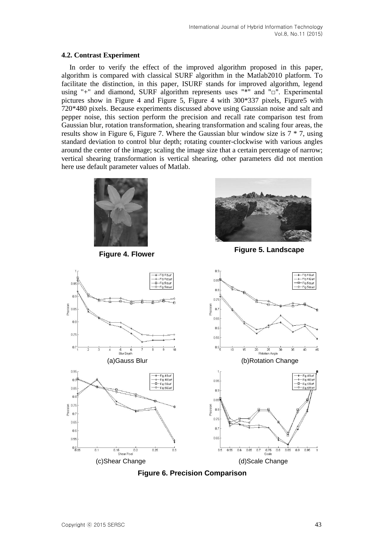## **4.2. Contrast Experiment**

In order to verify the effect of the improved algorithm proposed in this paper, algorithm is compared with classical SURF algorithm in the Matlab2010 platform. To facilitate the distinction, in this paper, ISURF stands for improved algorithm, legend using "+" and diamond, SURF algorithm represents uses "\*" and "□". Experimental pictures show in Figure 4 and Figure 5, Figure 4 with 300\*337 pixels, Figure5 with 720\*480 pixels. Because experiments discussed above using Gaussian noise and salt and pepper noise, this section perform the precision and recall rate comparison test from Gaussian blur, rotation transformation, shearing transformation and scaling four areas, the results show in Figure 6, Figure 7. Where the Gaussian blur window size is  $7 * 7$ , using standard deviation to control blur depth; rotating counter-clockwise with various angles around the center of the image; scaling the image size that a certain percentage of narrow; vertical shearing transformation is vertical shearing, other parameters did not mention here use default parameter values of Matlab.





**Figure 4. Flower Figure 5. Landscape**



**Figure 6. Precision Comparison**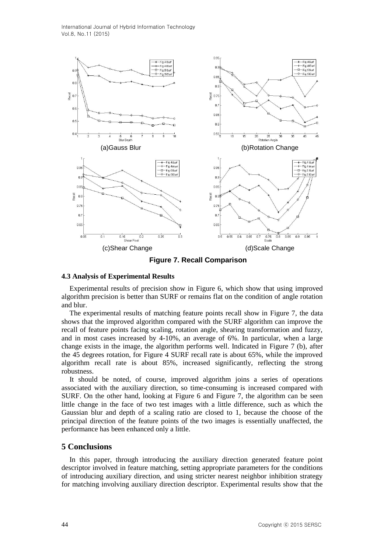International Journal of Hybrid Information Technology Vol.8, No.11 (2015)



**Figure 7. Recall Comparison**

### **4.3 Analysis of Experimental Results**

Experimental results of precision show in Figure 6, which show that using improved algorithm precision is better than SURF or remains flat on the condition of angle rotation and blur.

The experimental results of matching feature points recall show in Figure 7, the data shows that the improved algorithm compared with the SURF algorithm can improve the recall of feature points facing scaling, rotation angle, shearing transformation and fuzzy, and in most cases increased by 4-10%, an average of 6%. In particular, when a large change exists in the image, the algorithm performs well. Indicated in Figure 7 (b), after the 45 degrees rotation, for Figure 4 SURF recall rate is about 65%, while the improved algorithm recall rate is about 85%, increased significantly, reflecting the strong robustness.

It should be noted, of course, improved algorithm joins a series of operations associated with the auxiliary direction, so time-consuming is increased compared with SURF. On the other hand, looking at Figure 6 and Figure 7, the algorithm can be seen little change in the face of two test images with a little difference, such as which the Gaussian blur and depth of a scaling ratio are closed to 1, because the choose of the principal direction of the feature points of the two images is essentially unaffected, the performance has been enhanced only a little.

### **5 Conclusions**

In this paper, through introducing the auxiliary direction generated feature point descriptor involved in feature matching, setting appropriate parameters for the conditions of introducing auxiliary direction, and using stricter nearest neighbor inhibition strategy for matching involving auxiliary direction descriptor. Experimental results show that the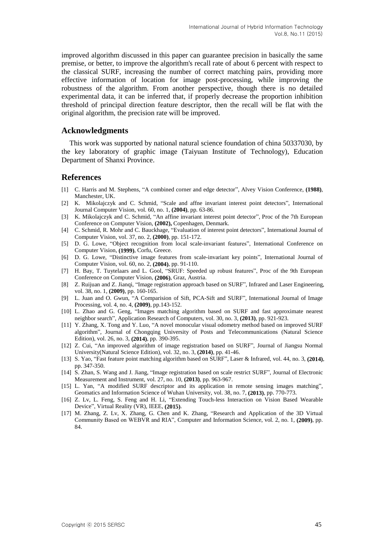improved algorithm discussed in this paper can guarantee precision in basically the same premise, or better, to improve the algorithm's recall rate of about 6 percent with respect to the classical SURF, increasing the number of correct matching pairs, providing more effective information of location for image post-processing, while improving the robustness of the algorithm. From another perspective, though there is no detailed experimental data, it can be inferred that, if properly decrease the proportion inhibition threshold of principal direction feature descriptor, then the recall will be flat with the original algorithm, the precision rate will be improved.

### **Acknowledgments**

This work was supported by national natural science foundation of china 50337030, by the key laboratory of graphic image (Taiyuan Institute of Technology), Education Department of Shanxi Province.

## **References**

- [1] C. Harris and M. Stephens, "A combined corner and edge detector", Alvey Vision Conference, **(1988)**, Manchester, UK.
- [2] K. Mikolajczyk and C. Schmid, "Scale and affne invariant interest point detectors", International Journal Computer Vision, vol. 60, no. 1, **(2004)**, pp. 63-86.
- [3] K. Mikolajczyk and C. Schmid, "An affine invariant interest point detector", Proc of the 7th European Conference on Computer Vision, **(2002),** Copenhagen, Denmark.
- [4] C. Schmid, R. Mohr and C. Bauckhage, "Evaluation of interest point detectors", International Journal of Computer Vision, vol. 37, no. 2, **(2000)**, pp. 151-172.
- [5] D. G. Lowe, "Object recognition from local scale-invariant features", International Conference on Computer Vision, **(1999)**, Corfu, Greece.
- [6] D. G. Lowe, "Distinctive image features from scale-invariant key points", International Journal of Computer Vision, vol. 60, no. 2, **(2004)**, pp. 91-110.
- [7] H. Bay, T. Tuytelaars and L. Gool, "SRUF: Speeded up robust features", Proc of the 9th European Conference on Computer Vision, **(2006)**, Graz, Austria.
- [8] Z. Ruijuan and Z. Jianqi, "Image registration approach based on SURF", Infrared and Laser Engineering, vol. 38, no. 1, **(2009)**, pp. 160-165.
- [9] L. Juan and O. Gwun, "A Comparision of Sift, PCA-Sift and SURF", International Journal of Image Processing, vol. 4, no. 4, **(2009)**, pp.143-152.
- [10] L. Zhao and G. Geng, "Images matching algorithm based on SURF and fast approximate nearest neighbor search", Application Research of Computers, vol. 30, no. 3, **(2013)**, pp. 921-923.
- [11] Y. Zhang, X. Tong and Y. Luo, "A novel monocular visual odometry method based on improved SURF algorithm", Journal of Chongqing University of Posts and Telecommunications (Natural Science Edition), vol. 26, no. 3, **(2014)**, pp. 390-395.
- [12] Z. Cui, "An improved algorithm of image registration based on SURF", Journal of Jiangsu Normal University(Natural Science Edition), vol. 32, no. 3, **(2014)**, pp. 41-46.
- [13] S. Yao, "Fast feature point matching algorithm based on SURF", Laser & Infrared, vol. 44, no. 3, **(2014)**, pp. 347-350.
- [14] S. Zhan, S. Wang and J. Jiang, "Image registration based on scale restrict SURF", Journal of Electronic Measurement and Instrument, vol. 27, no. 10, **(2013)**, pp. 963-967.
- [15] L. Yan, "A modified SURF descriptor and its application in remote sensing images matching", Geomatics and Information Science of Wuhan University, vol. 38, no. 7, **(2013)**, pp. 770-773.
- [16] Z. Lv, L. Feng, S. Feng and H. Li, "Extending Touch-less Interaction on Vision Based Wearable Device", Virtual Reality (VR), IEEE, **(2015)**.
- [17] M. Zhang, Z. Lv, X. Zhang, G. Chen and K. Zhang, "Research and Application of the 3D Virtual Community Based on WEBVR and RIA", Computer and Information Science, vol. 2, no. 1, **(2009)**, pp. 84.